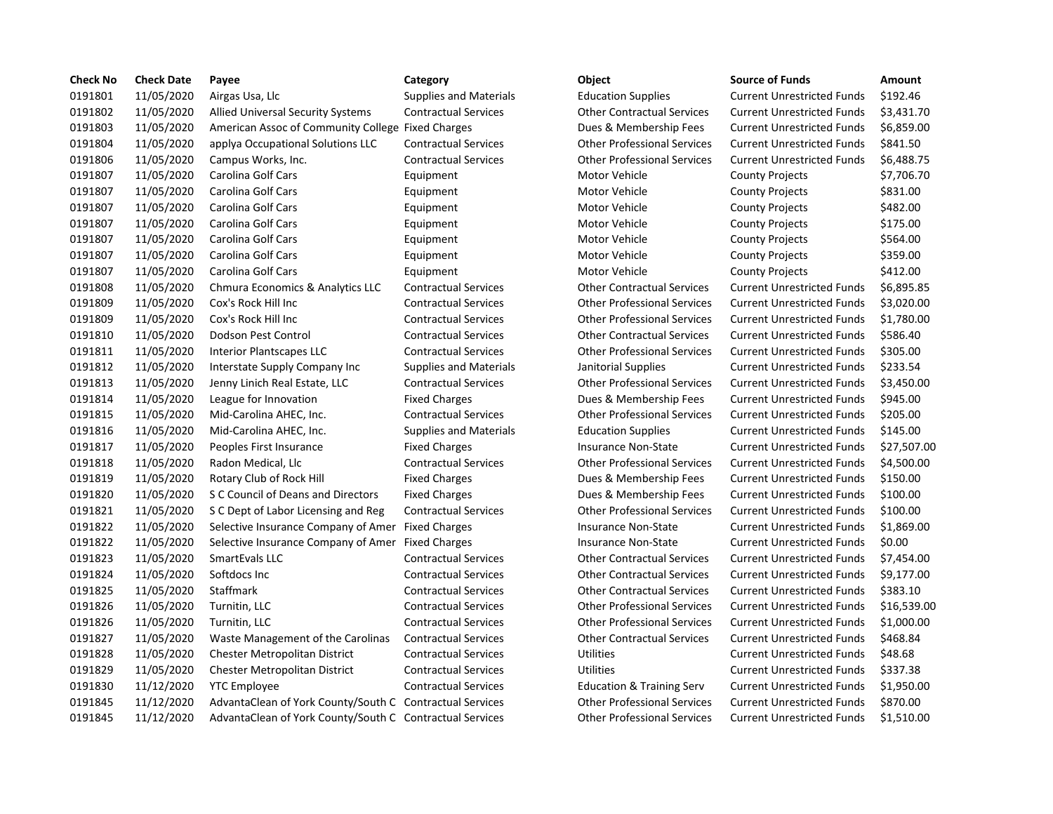| <b>Check No</b> | <b>Check Date</b> | Payee                                                    | Category                      | Object                               | <b>Source of Funds</b>            | <b>Amount</b> |
|-----------------|-------------------|----------------------------------------------------------|-------------------------------|--------------------------------------|-----------------------------------|---------------|
| 0191801         | 11/05/2020        | Airgas Usa, Llc                                          | <b>Supplies and Materials</b> | <b>Education Supplies</b>            | <b>Current Unrestricted Funds</b> | \$192.46      |
| 0191802         | 11/05/2020        | Allied Universal Security Systems                        | <b>Contractual Services</b>   | <b>Other Contractual Services</b>    | <b>Current Unrestricted Funds</b> | \$3,431.70    |
| 0191803         | 11/05/2020        | American Assoc of Community College Fixed Charges        |                               | Dues & Membership Fees               | <b>Current Unrestricted Funds</b> | \$6,859.00    |
| 0191804         | 11/05/2020        | applya Occupational Solutions LLC                        | <b>Contractual Services</b>   | <b>Other Professional Services</b>   | <b>Current Unrestricted Funds</b> | \$841.50      |
| 0191806         | 11/05/2020        | Campus Works, Inc.                                       | <b>Contractual Services</b>   | <b>Other Professional Services</b>   | <b>Current Unrestricted Funds</b> | \$6,488.75    |
| 0191807         | 11/05/2020        | Carolina Golf Cars                                       | Equipment                     | Motor Vehicle                        | <b>County Projects</b>            | \$7,706.70    |
| 0191807         | 11/05/2020        | <b>Carolina Golf Cars</b>                                | Equipment                     | Motor Vehicle                        | <b>County Projects</b>            | \$831.00      |
| 0191807         | 11/05/2020        | Carolina Golf Cars                                       | Equipment                     | Motor Vehicle                        | <b>County Projects</b>            | \$482.00      |
| 0191807         | 11/05/2020        | Carolina Golf Cars                                       | Equipment                     | Motor Vehicle                        | <b>County Projects</b>            | \$175.00      |
| 0191807         | 11/05/2020        | Carolina Golf Cars                                       | Equipment                     | Motor Vehicle                        | <b>County Projects</b>            | \$564.00      |
| 0191807         | 11/05/2020        | Carolina Golf Cars                                       | Equipment                     | Motor Vehicle                        | <b>County Projects</b>            | \$359.00      |
| 0191807         | 11/05/2020        | Carolina Golf Cars                                       | Equipment                     | Motor Vehicle                        | <b>County Projects</b>            | \$412.00      |
| 0191808         | 11/05/2020        | Chmura Economics & Analytics LLC                         | <b>Contractual Services</b>   | <b>Other Contractual Services</b>    | <b>Current Unrestricted Funds</b> | \$6,895.85    |
| 0191809         | 11/05/2020        | Cox's Rock Hill Inc                                      | <b>Contractual Services</b>   | <b>Other Professional Services</b>   | <b>Current Unrestricted Funds</b> | \$3,020.00    |
| 0191809         | 11/05/2020        | Cox's Rock Hill Inc                                      | <b>Contractual Services</b>   | <b>Other Professional Services</b>   | <b>Current Unrestricted Funds</b> | \$1,780.00    |
| 0191810         | 11/05/2020        | Dodson Pest Control                                      | <b>Contractual Services</b>   | <b>Other Contractual Services</b>    | <b>Current Unrestricted Funds</b> | \$586.40      |
| 0191811         | 11/05/2020        | <b>Interior Plantscapes LLC</b>                          | <b>Contractual Services</b>   | <b>Other Professional Services</b>   | <b>Current Unrestricted Funds</b> | \$305.00      |
| 0191812         | 11/05/2020        | Interstate Supply Company Inc.                           | <b>Supplies and Materials</b> | Janitorial Supplies                  | <b>Current Unrestricted Funds</b> | \$233.54      |
| 0191813         | 11/05/2020        | Jenny Linich Real Estate, LLC                            | <b>Contractual Services</b>   | <b>Other Professional Services</b>   | <b>Current Unrestricted Funds</b> | \$3,450.00    |
| 0191814         | 11/05/2020        | League for Innovation                                    | <b>Fixed Charges</b>          | Dues & Membership Fees               | <b>Current Unrestricted Funds</b> | \$945.00      |
| 0191815         | 11/05/2020        | Mid-Carolina AHEC, Inc.                                  | <b>Contractual Services</b>   | <b>Other Professional Services</b>   | <b>Current Unrestricted Funds</b> | \$205.00      |
| 0191816         | 11/05/2020        | Mid-Carolina AHEC, Inc.                                  | <b>Supplies and Materials</b> | <b>Education Supplies</b>            | <b>Current Unrestricted Funds</b> | \$145.00      |
| 0191817         | 11/05/2020        | Peoples First Insurance                                  | <b>Fixed Charges</b>          | <b>Insurance Non-State</b>           | <b>Current Unrestricted Funds</b> | \$27,507.0    |
| 0191818         | 11/05/2020        | Radon Medical, Llc                                       | <b>Contractual Services</b>   | <b>Other Professional Services</b>   | <b>Current Unrestricted Funds</b> | \$4,500.00    |
| 0191819         | 11/05/2020        | Rotary Club of Rock Hill                                 | <b>Fixed Charges</b>          | Dues & Membership Fees               | <b>Current Unrestricted Funds</b> | \$150.00      |
| 0191820         | 11/05/2020        | S C Council of Deans and Directors                       | <b>Fixed Charges</b>          | Dues & Membership Fees               | <b>Current Unrestricted Funds</b> | \$100.00      |
| 0191821         | 11/05/2020        | S C Dept of Labor Licensing and Reg                      | <b>Contractual Services</b>   | <b>Other Professional Services</b>   | <b>Current Unrestricted Funds</b> | \$100.00      |
| 0191822         | 11/05/2020        | Selective Insurance Company of Amer Fixed Charges        |                               | <b>Insurance Non-State</b>           | <b>Current Unrestricted Funds</b> | \$1,869.00    |
| 0191822         | 11/05/2020        | Selective Insurance Company of Amer Fixed Charges        |                               | <b>Insurance Non-State</b>           | <b>Current Unrestricted Funds</b> | \$0.00        |
| 0191823         | 11/05/2020        | SmartEvals LLC                                           | <b>Contractual Services</b>   | <b>Other Contractual Services</b>    | <b>Current Unrestricted Funds</b> | \$7,454.00    |
| 0191824         | 11/05/2020        | Softdocs Inc                                             | <b>Contractual Services</b>   | <b>Other Contractual Services</b>    | <b>Current Unrestricted Funds</b> | \$9,177.00    |
| 0191825         | 11/05/2020        | Staffmark                                                | <b>Contractual Services</b>   | <b>Other Contractual Services</b>    | <b>Current Unrestricted Funds</b> | \$383.10      |
| 0191826         | 11/05/2020        | Turnitin, LLC                                            | <b>Contractual Services</b>   | <b>Other Professional Services</b>   | <b>Current Unrestricted Funds</b> | \$16,539.0    |
| 0191826         | 11/05/2020        | Turnitin, LLC                                            | <b>Contractual Services</b>   | <b>Other Professional Services</b>   | <b>Current Unrestricted Funds</b> | \$1,000.00    |
| 0191827         | 11/05/2020        | Waste Management of the Carolinas                        | <b>Contractual Services</b>   | <b>Other Contractual Services</b>    | <b>Current Unrestricted Funds</b> | \$468.84      |
| 0191828         | 11/05/2020        | <b>Chester Metropolitan District</b>                     | <b>Contractual Services</b>   | <b>Utilities</b>                     | <b>Current Unrestricted Funds</b> | \$48.68       |
| 0191829         | 11/05/2020        | <b>Chester Metropolitan District</b>                     | <b>Contractual Services</b>   | <b>Utilities</b>                     | <b>Current Unrestricted Funds</b> | \$337.38      |
| 0191830         | 11/12/2020        | <b>YTC Employee</b>                                      | <b>Contractual Services</b>   | <b>Education &amp; Training Serv</b> | <b>Current Unrestricted Funds</b> | \$1,950.00    |
| 0191845         | 11/12/2020        | AdvantaClean of York County/South C Contractual Services |                               | <b>Other Professional Services</b>   | <b>Current Unrestricted Funds</b> | \$870.00      |
| 0191845         | 11/12/2020        | AdvantaClean of York County/South C Contractual Services |                               | <b>Other Professional Services</b>   | <b>Current Unrestricted Funds</b> | \$1,510.00    |

|  | × | ۰.<br>M.<br>۰,<br>× |
|--|---|---------------------|
|  |   |                     |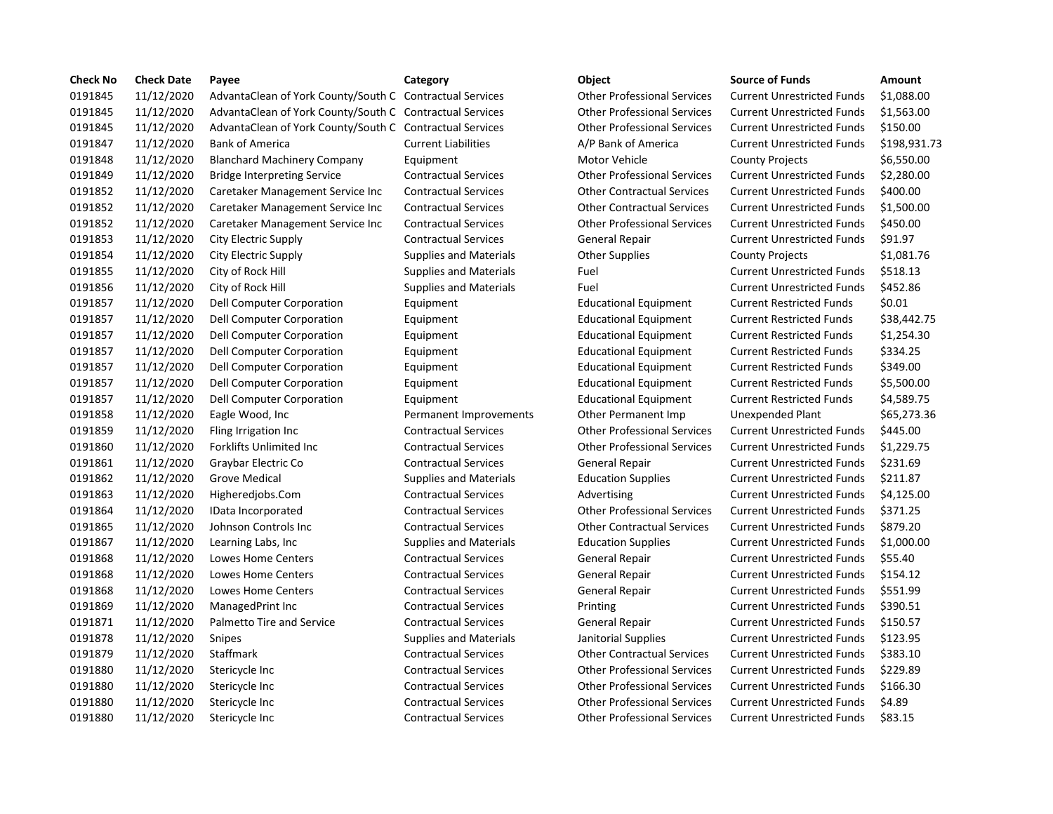| <b>Check No</b> | <b>Check Date</b> | Payee                                                    | Category                      | Object                             | <b>Source of Funds</b>            | <b>Amount</b> |
|-----------------|-------------------|----------------------------------------------------------|-------------------------------|------------------------------------|-----------------------------------|---------------|
| 0191845         | 11/12/2020        | AdvantaClean of York County/South C Contractual Services |                               | <b>Other Professional Services</b> | <b>Current Unrestricted Funds</b> | \$1,088.00    |
| 0191845         | 11/12/2020        | AdvantaClean of York County/South C Contractual Services |                               | <b>Other Professional Services</b> | <b>Current Unrestricted Funds</b> | \$1,563.00    |
| 0191845         | 11/12/2020        | AdvantaClean of York County/South C Contractual Services |                               | <b>Other Professional Services</b> | <b>Current Unrestricted Funds</b> | \$150.00      |
| 0191847         | 11/12/2020        | <b>Bank of America</b>                                   | <b>Current Liabilities</b>    | A/P Bank of America                | <b>Current Unrestricted Funds</b> | \$198,931.    |
| 0191848         | 11/12/2020        | <b>Blanchard Machinery Company</b>                       | Equipment                     | Motor Vehicle                      | <b>County Projects</b>            | \$6,550.00    |
| 0191849         | 11/12/2020        | <b>Bridge Interpreting Service</b>                       | <b>Contractual Services</b>   | <b>Other Professional Services</b> | <b>Current Unrestricted Funds</b> | \$2,280.00    |
| 0191852         | 11/12/2020        | Caretaker Management Service Inc                         | <b>Contractual Services</b>   | <b>Other Contractual Services</b>  | <b>Current Unrestricted Funds</b> | \$400.00      |
| 0191852         | 11/12/2020        | Caretaker Management Service Inc                         | <b>Contractual Services</b>   | <b>Other Contractual Services</b>  | <b>Current Unrestricted Funds</b> | \$1,500.00    |
| 0191852         | 11/12/2020        | Caretaker Management Service Inc                         | <b>Contractual Services</b>   | <b>Other Professional Services</b> | <b>Current Unrestricted Funds</b> | \$450.00      |
| 0191853         | 11/12/2020        | City Electric Supply                                     | <b>Contractual Services</b>   | General Repair                     | <b>Current Unrestricted Funds</b> | \$91.97       |
| 0191854         | 11/12/2020        | City Electric Supply                                     | <b>Supplies and Materials</b> | <b>Other Supplies</b>              | <b>County Projects</b>            | \$1,081.76    |
| 0191855         | 11/12/2020        | City of Rock Hill                                        | <b>Supplies and Materials</b> | Fuel                               | <b>Current Unrestricted Funds</b> | \$518.13      |
| 0191856         | 11/12/2020        | City of Rock Hill                                        | <b>Supplies and Materials</b> | Fuel                               | <b>Current Unrestricted Funds</b> | \$452.86      |
| 0191857         | 11/12/2020        | Dell Computer Corporation                                | Equipment                     | <b>Educational Equipment</b>       | <b>Current Restricted Funds</b>   | \$0.01        |
| 0191857         | 11/12/2020        | Dell Computer Corporation                                | Equipment                     | <b>Educational Equipment</b>       | <b>Current Restricted Funds</b>   | \$38,442.7    |
| 0191857         | 11/12/2020        | Dell Computer Corporation                                | Equipment                     | <b>Educational Equipment</b>       | <b>Current Restricted Funds</b>   | \$1,254.30    |
| 0191857         | 11/12/2020        | Dell Computer Corporation                                | Equipment                     | <b>Educational Equipment</b>       | <b>Current Restricted Funds</b>   | \$334.25      |
| 0191857         | 11/12/2020        | Dell Computer Corporation                                | Equipment                     | <b>Educational Equipment</b>       | <b>Current Restricted Funds</b>   | \$349.00      |
| 0191857         | 11/12/2020        | Dell Computer Corporation                                | Equipment                     | <b>Educational Equipment</b>       | <b>Current Restricted Funds</b>   | \$5,500.00    |
| 0191857         | 11/12/2020        | Dell Computer Corporation                                | Equipment                     | <b>Educational Equipment</b>       | <b>Current Restricted Funds</b>   | \$4,589.75    |
| 0191858         | 11/12/2020        | Eagle Wood, Inc.                                         | Permanent Improvements        | Other Permanent Imp                | Unexpended Plant                  | \$65,273.3    |
| 0191859         | 11/12/2020        | Fling Irrigation Inc                                     | <b>Contractual Services</b>   | <b>Other Professional Services</b> | <b>Current Unrestricted Funds</b> | \$445.00      |
| 0191860         | 11/12/2020        | <b>Forklifts Unlimited Inc</b>                           | <b>Contractual Services</b>   | <b>Other Professional Services</b> | <b>Current Unrestricted Funds</b> | \$1,229.75    |
| 0191861         | 11/12/2020        | Graybar Electric Co                                      | <b>Contractual Services</b>   | <b>General Repair</b>              | <b>Current Unrestricted Funds</b> | \$231.69      |
| 0191862         | 11/12/2020        | Grove Medical                                            | <b>Supplies and Materials</b> | <b>Education Supplies</b>          | <b>Current Unrestricted Funds</b> | \$211.87      |
| 0191863         | 11/12/2020        | Higheredjobs.Com                                         | <b>Contractual Services</b>   | Advertising                        | <b>Current Unrestricted Funds</b> | \$4,125.00    |
| 0191864         | 11/12/2020        | IData Incorporated                                       | <b>Contractual Services</b>   | <b>Other Professional Services</b> | <b>Current Unrestricted Funds</b> | \$371.25      |
| 0191865         | 11/12/2020        | Johnson Controls Inc                                     | <b>Contractual Services</b>   | <b>Other Contractual Services</b>  | <b>Current Unrestricted Funds</b> | \$879.20      |
| 0191867         | 11/12/2020        | Learning Labs, Inc                                       | <b>Supplies and Materials</b> | <b>Education Supplies</b>          | <b>Current Unrestricted Funds</b> | \$1,000.00    |
| 0191868         | 11/12/2020        | Lowes Home Centers                                       | <b>Contractual Services</b>   | <b>General Repair</b>              | <b>Current Unrestricted Funds</b> | \$55.40       |
| 0191868         | 11/12/2020        | Lowes Home Centers                                       | <b>Contractual Services</b>   | <b>General Repair</b>              | <b>Current Unrestricted Funds</b> | \$154.12      |
| 0191868         | 11/12/2020        | Lowes Home Centers                                       | <b>Contractual Services</b>   | <b>General Repair</b>              | <b>Current Unrestricted Funds</b> | \$551.99      |
| 0191869         | 11/12/2020        | ManagedPrint Inc                                         | <b>Contractual Services</b>   | Printing                           | <b>Current Unrestricted Funds</b> | \$390.51      |
| 0191871         | 11/12/2020        | Palmetto Tire and Service                                | <b>Contractual Services</b>   | <b>General Repair</b>              | <b>Current Unrestricted Funds</b> | \$150.57      |
| 0191878         | 11/12/2020        | <b>Snipes</b>                                            | <b>Supplies and Materials</b> | Janitorial Supplies                | <b>Current Unrestricted Funds</b> | \$123.95      |
| 0191879         | 11/12/2020        | Staffmark                                                | <b>Contractual Services</b>   | <b>Other Contractual Services</b>  | <b>Current Unrestricted Funds</b> | \$383.10      |
| 0191880         | 11/12/2020        | Stericycle Inc                                           | <b>Contractual Services</b>   | <b>Other Professional Services</b> | <b>Current Unrestricted Funds</b> | \$229.89      |
| 0191880         | 11/12/2020        | Stericycle Inc                                           | <b>Contractual Services</b>   | <b>Other Professional Services</b> | <b>Current Unrestricted Funds</b> | \$166.30      |
| 0191880         | 11/12/2020        | Stericycle Inc                                           | <b>Contractual Services</b>   | <b>Other Professional Services</b> | <b>Current Unrestricted Funds</b> | \$4.89        |
| 0191880         | 11/12/2020        | Stericycle Inc                                           | <b>Contractual Services</b>   | <b>Other Professional Services</b> | <b>Current Unrestricted Funds</b> | \$83.15       |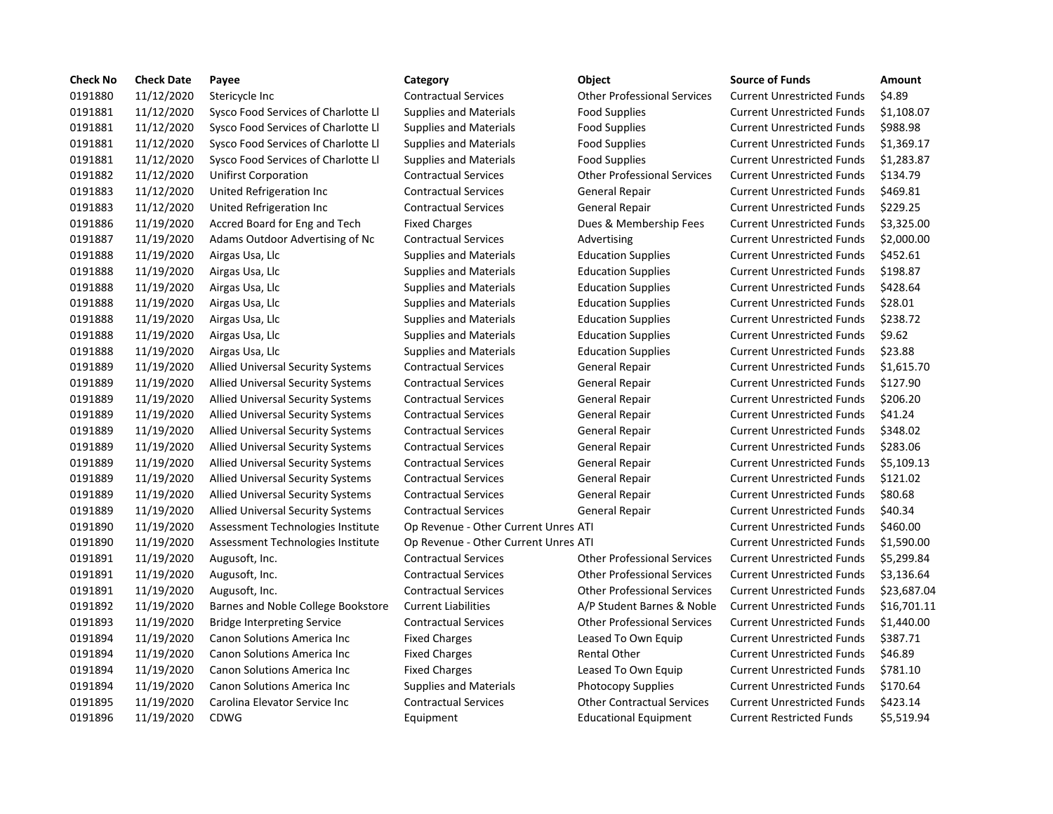| <b>Check No</b> | <b>Check Date</b> | Payee                                    | Category                             | <b>Object</b>                      | <b>Source of Funds</b>            | Amount    |
|-----------------|-------------------|------------------------------------------|--------------------------------------|------------------------------------|-----------------------------------|-----------|
| 0191880         | 11/12/2020        | Stericycle Inc                           | <b>Contractual Services</b>          | <b>Other Professional Services</b> | <b>Current Unrestricted Funds</b> | \$4.89    |
| 0191881         | 11/12/2020        | Sysco Food Services of Charlotte Ll      | Supplies and Materials               | <b>Food Supplies</b>               | <b>Current Unrestricted Funds</b> | \$1,108.0 |
| 0191881         | 11/12/2020        | Sysco Food Services of Charlotte Ll      | Supplies and Materials               | <b>Food Supplies</b>               | <b>Current Unrestricted Funds</b> | \$988.98  |
| 0191881         | 11/12/2020        | Sysco Food Services of Charlotte Ll      | <b>Supplies and Materials</b>        | <b>Food Supplies</b>               | <b>Current Unrestricted Funds</b> | \$1,369.1 |
| 0191881         | 11/12/2020        | Sysco Food Services of Charlotte Ll      | Supplies and Materials               | <b>Food Supplies</b>               | <b>Current Unrestricted Funds</b> | \$1,283.8 |
| 0191882         | 11/12/2020        | <b>Unifirst Corporation</b>              | <b>Contractual Services</b>          | <b>Other Professional Services</b> | <b>Current Unrestricted Funds</b> | \$134.79  |
| 0191883         | 11/12/2020        | United Refrigeration Inc                 | <b>Contractual Services</b>          | General Repair                     | <b>Current Unrestricted Funds</b> | \$469.81  |
| 0191883         | 11/12/2020        | United Refrigeration Inc                 | <b>Contractual Services</b>          | General Repair                     | <b>Current Unrestricted Funds</b> | \$229.25  |
| 0191886         | 11/19/2020        | Accred Board for Eng and Tech            | <b>Fixed Charges</b>                 | Dues & Membership Fees             | <b>Current Unrestricted Funds</b> | \$3,325.0 |
| 0191887         | 11/19/2020        | Adams Outdoor Advertising of Nc          | <b>Contractual Services</b>          | Advertising                        | <b>Current Unrestricted Funds</b> | \$2,000.0 |
| 0191888         | 11/19/2020        | Airgas Usa, Llc                          | Supplies and Materials               | <b>Education Supplies</b>          | <b>Current Unrestricted Funds</b> | \$452.61  |
| 0191888         | 11/19/2020        | Airgas Usa, Llc                          | Supplies and Materials               | <b>Education Supplies</b>          | <b>Current Unrestricted Funds</b> | \$198.87  |
| 0191888         | 11/19/2020        | Airgas Usa, Llc                          | <b>Supplies and Materials</b>        | <b>Education Supplies</b>          | <b>Current Unrestricted Funds</b> | \$428.64  |
| 0191888         | 11/19/2020        | Airgas Usa, Llc                          | Supplies and Materials               | <b>Education Supplies</b>          | <b>Current Unrestricted Funds</b> | \$28.01   |
| 0191888         | 11/19/2020        | Airgas Usa, Llc                          | <b>Supplies and Materials</b>        | <b>Education Supplies</b>          | <b>Current Unrestricted Funds</b> | \$238.72  |
| 0191888         | 11/19/2020        | Airgas Usa, Llc                          | <b>Supplies and Materials</b>        | <b>Education Supplies</b>          | <b>Current Unrestricted Funds</b> | \$9.62    |
| 0191888         | 11/19/2020        | Airgas Usa, Llc                          | Supplies and Materials               | <b>Education Supplies</b>          | <b>Current Unrestricted Funds</b> | \$23.88   |
| 0191889         | 11/19/2020        | <b>Allied Universal Security Systems</b> | <b>Contractual Services</b>          | General Repair                     | <b>Current Unrestricted Funds</b> | \$1,615.7 |
| 0191889         | 11/19/2020        | <b>Allied Universal Security Systems</b> | <b>Contractual Services</b>          | General Repair                     | <b>Current Unrestricted Funds</b> | \$127.90  |
| 0191889         | 11/19/2020        | <b>Allied Universal Security Systems</b> | <b>Contractual Services</b>          | General Repair                     | <b>Current Unrestricted Funds</b> | \$206.20  |
| 0191889         | 11/19/2020        | <b>Allied Universal Security Systems</b> | <b>Contractual Services</b>          | General Repair                     | <b>Current Unrestricted Funds</b> | \$41.24   |
| 0191889         | 11/19/2020        | <b>Allied Universal Security Systems</b> | <b>Contractual Services</b>          | General Repair                     | <b>Current Unrestricted Funds</b> | \$348.02  |
| 0191889         | 11/19/2020        | <b>Allied Universal Security Systems</b> | <b>Contractual Services</b>          | General Repair                     | <b>Current Unrestricted Funds</b> | \$283.06  |
| 0191889         | 11/19/2020        | Allied Universal Security Systems        | <b>Contractual Services</b>          | General Repair                     | <b>Current Unrestricted Funds</b> | \$5,109.1 |
| 0191889         | 11/19/2020        | Allied Universal Security Systems        | <b>Contractual Services</b>          | General Repair                     | <b>Current Unrestricted Funds</b> | \$121.02  |
| 0191889         | 11/19/2020        | <b>Allied Universal Security Systems</b> | <b>Contractual Services</b>          | General Repair                     | <b>Current Unrestricted Funds</b> | \$80.68   |
| 0191889         | 11/19/2020        | <b>Allied Universal Security Systems</b> | <b>Contractual Services</b>          | General Repair                     | <b>Current Unrestricted Funds</b> | \$40.34   |
| 0191890         | 11/19/2020        | Assessment Technologies Institute        | Op Revenue - Other Current Unres ATI |                                    | <b>Current Unrestricted Funds</b> | \$460.00  |
| 0191890         | 11/19/2020        | Assessment Technologies Institute        | Op Revenue - Other Current Unres ATI |                                    | <b>Current Unrestricted Funds</b> | \$1,590.0 |
| 0191891         | 11/19/2020        | Augusoft, Inc.                           | <b>Contractual Services</b>          | <b>Other Professional Services</b> | <b>Current Unrestricted Funds</b> | \$5,299.8 |
| 0191891         | 11/19/2020        | Augusoft, Inc.                           | <b>Contractual Services</b>          | <b>Other Professional Services</b> | <b>Current Unrestricted Funds</b> | \$3,136.6 |
| 0191891         | 11/19/2020        | Augusoft, Inc.                           | <b>Contractual Services</b>          | <b>Other Professional Services</b> | <b>Current Unrestricted Funds</b> | \$23,687  |
| 0191892         | 11/19/2020        | Barnes and Noble College Bookstore       | <b>Current Liabilities</b>           | A/P Student Barnes & Noble         | <b>Current Unrestricted Funds</b> | \$16,701  |
| 0191893         | 11/19/2020        | <b>Bridge Interpreting Service</b>       | <b>Contractual Services</b>          | <b>Other Professional Services</b> | <b>Current Unrestricted Funds</b> | \$1,440.0 |
| 0191894         | 11/19/2020        | Canon Solutions America Inc              | <b>Fixed Charges</b>                 | Leased To Own Equip                | <b>Current Unrestricted Funds</b> | \$387.71  |
| 0191894         | 11/19/2020        | Canon Solutions America Inc              | <b>Fixed Charges</b>                 | <b>Rental Other</b>                | <b>Current Unrestricted Funds</b> | \$46.89   |
| 0191894         | 11/19/2020        | <b>Canon Solutions America Inc.</b>      | <b>Fixed Charges</b>                 | Leased To Own Equip                | <b>Current Unrestricted Funds</b> | \$781.10  |
| 0191894         | 11/19/2020        | <b>Canon Solutions America Inc.</b>      | <b>Supplies and Materials</b>        | <b>Photocopy Supplies</b>          | <b>Current Unrestricted Funds</b> | \$170.64  |
| 0191895         | 11/19/2020        | Carolina Elevator Service Inc            | <b>Contractual Services</b>          | <b>Other Contractual Services</b>  | <b>Current Unrestricted Funds</b> | \$423.14  |
| 0191896         | 11/19/2020        | <b>CDWG</b>                              | Equipment                            | <b>Educational Equipment</b>       | <b>Current Restricted Funds</b>   | \$5,519.9 |

| Object                             |
|------------------------------------|
| <b>Other Professional Services</b> |
| <b>Food Supplies</b>               |
| <b>Food Supplies</b>               |
| <b>Food Supplies</b>               |
| <b>Food Supplies</b>               |
| <b>Other Professional Services</b> |
| <b>General Repair</b>              |
| <b>General Repair</b>              |
| Dues & Membership Fees             |
| Advertising                        |
| <b>Education Supplies</b>          |
| <b>Education Supplies</b>          |
| <b>Education Supplies</b>          |
| <b>Education Supplies</b>          |
| <b>Education Supplies</b>          |
| <b>Education Supplies</b>          |
| <b>Education Supplies</b>          |
| <b>General Repair</b>              |
| <b>General Repair</b>              |
| <b>General Repair</b>              |
| <b>General Repair</b>              |
| <b>General Repair</b>              |
| <b>General Repair</b>              |
| <b>General Repair</b>              |
| <b>General Repair</b>              |
| <b>General Repair</b>              |
| <b>General Repair</b>              |
| ATI                                |
| ATI                                |
| <b>Other Professional Services</b> |
| <b>Other Professional Services</b> |
| <b>Other Professional Services</b> |
| A/P Student Barnes & Nobl          |
|                                    |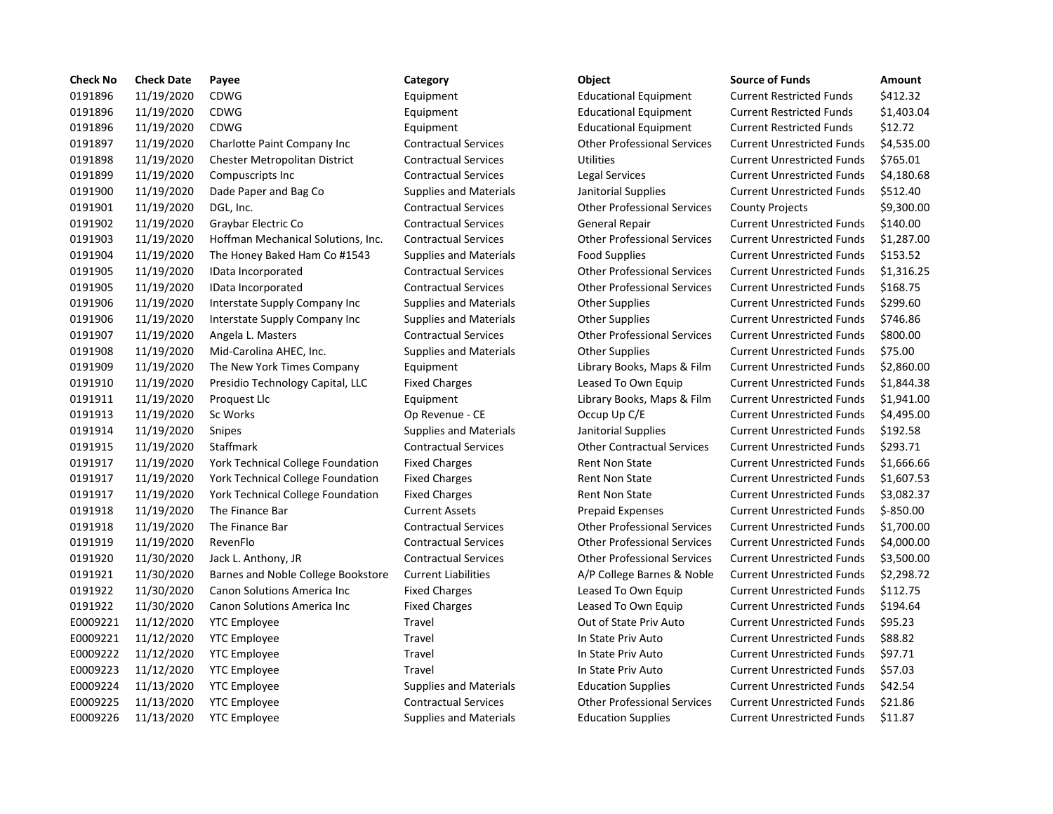| <b>Check No</b> | <b>Check Date</b> | Payee                                    | Category                      | Object                             | <b>Source of Funds</b>            | Amount      |
|-----------------|-------------------|------------------------------------------|-------------------------------|------------------------------------|-----------------------------------|-------------|
| 0191896         | 11/19/2020        | <b>CDWG</b>                              | Equipment                     | <b>Educational Equipment</b>       | <b>Current Restricted Funds</b>   | \$412.32    |
| 0191896         | 11/19/2020        | <b>CDWG</b>                              | Equipment                     | <b>Educational Equipment</b>       | <b>Current Restricted Funds</b>   | \$1,403.0   |
| 0191896         | 11/19/2020        | <b>CDWG</b>                              | Equipment                     | <b>Educational Equipment</b>       | <b>Current Restricted Funds</b>   | \$12.72     |
| 0191897         | 11/19/2020        | Charlotte Paint Company Inc              | <b>Contractual Services</b>   | <b>Other Professional Services</b> | <b>Current Unrestricted Funds</b> | \$4,535.0   |
| 0191898         | 11/19/2020        | <b>Chester Metropolitan District</b>     | <b>Contractual Services</b>   | <b>Utilities</b>                   | <b>Current Unrestricted Funds</b> | \$765.01    |
| 0191899         | 11/19/2020        | Compuscripts Inc.                        | <b>Contractual Services</b>   | Legal Services                     | <b>Current Unrestricted Funds</b> | \$4,180.6   |
| 0191900         | 11/19/2020        | Dade Paper and Bag Co                    | <b>Supplies and Materials</b> | Janitorial Supplies                | <b>Current Unrestricted Funds</b> | \$512.40    |
| 0191901         | 11/19/2020        | DGL, Inc.                                | <b>Contractual Services</b>   | <b>Other Professional Services</b> | <b>County Projects</b>            | \$9,300.0   |
| 0191902         | 11/19/2020        | Graybar Electric Co                      | <b>Contractual Services</b>   | <b>General Repair</b>              | <b>Current Unrestricted Funds</b> | \$140.00    |
| 0191903         | 11/19/2020        | Hoffman Mechanical Solutions, Inc.       | <b>Contractual Services</b>   | <b>Other Professional Services</b> | <b>Current Unrestricted Funds</b> | \$1,287.0   |
| 0191904         | 11/19/2020        | The Honey Baked Ham Co #1543             | Supplies and Materials        | <b>Food Supplies</b>               | <b>Current Unrestricted Funds</b> | \$153.52    |
| 0191905         | 11/19/2020        | IData Incorporated                       | <b>Contractual Services</b>   | <b>Other Professional Services</b> | <b>Current Unrestricted Funds</b> | \$1,316.2   |
| 0191905         | 11/19/2020        | IData Incorporated                       | <b>Contractual Services</b>   | <b>Other Professional Services</b> | <b>Current Unrestricted Funds</b> | \$168.75    |
| 0191906         | 11/19/2020        | Interstate Supply Company Inc.           | Supplies and Materials        | <b>Other Supplies</b>              | <b>Current Unrestricted Funds</b> | \$299.60    |
| 0191906         | 11/19/2020        | Interstate Supply Company Inc            | <b>Supplies and Materials</b> | <b>Other Supplies</b>              | <b>Current Unrestricted Funds</b> | \$746.86    |
| 0191907         | 11/19/2020        | Angela L. Masters                        | <b>Contractual Services</b>   | <b>Other Professional Services</b> | <b>Current Unrestricted Funds</b> | \$800.00    |
| 0191908         | 11/19/2020        | Mid-Carolina AHEC, Inc.                  | <b>Supplies and Materials</b> | <b>Other Supplies</b>              | <b>Current Unrestricted Funds</b> | \$75.00     |
| 0191909         | 11/19/2020        | The New York Times Company               | Equipment                     | Library Books, Maps & Film         | <b>Current Unrestricted Funds</b> | \$2,860.0   |
| 0191910         | 11/19/2020        | Presidio Technology Capital, LLC         | <b>Fixed Charges</b>          | Leased To Own Equip                | <b>Current Unrestricted Funds</b> | \$1,844.3   |
| 0191911         | 11/19/2020        | Proquest Llc                             | Equipment                     | Library Books, Maps & Film         | <b>Current Unrestricted Funds</b> | \$1,941.0   |
| 0191913         | 11/19/2020        | Sc Works                                 | Op Revenue - CE               | Occup Up C/E                       | <b>Current Unrestricted Funds</b> | \$4,495.0   |
| 0191914         | 11/19/2020        | Snipes                                   | <b>Supplies and Materials</b> | Janitorial Supplies                | <b>Current Unrestricted Funds</b> | \$192.58    |
| 0191915         | 11/19/2020        | Staffmark                                | <b>Contractual Services</b>   | <b>Other Contractual Services</b>  | <b>Current Unrestricted Funds</b> | \$293.71    |
| 0191917         | 11/19/2020        | York Technical College Foundation        | <b>Fixed Charges</b>          | <b>Rent Non State</b>              | <b>Current Unrestricted Funds</b> | \$1,666.6   |
| 0191917         | 11/19/2020        | <b>York Technical College Foundation</b> | <b>Fixed Charges</b>          | <b>Rent Non State</b>              | <b>Current Unrestricted Funds</b> | \$1,607.5   |
| 0191917         | 11/19/2020        | York Technical College Foundation        | <b>Fixed Charges</b>          | Rent Non State                     | <b>Current Unrestricted Funds</b> | \$3,082.3   |
| 0191918         | 11/19/2020        | The Finance Bar                          | <b>Current Assets</b>         | <b>Prepaid Expenses</b>            | <b>Current Unrestricted Funds</b> | $$ -850.00$ |
| 0191918         | 11/19/2020        | The Finance Bar                          | <b>Contractual Services</b>   | <b>Other Professional Services</b> | <b>Current Unrestricted Funds</b> | $$1,700$ .  |
| 0191919         | 11/19/2020        | RevenFlo                                 | <b>Contractual Services</b>   | <b>Other Professional Services</b> | <b>Current Unrestricted Funds</b> | \$4,000.0   |
| 0191920         | 11/30/2020        | Jack L. Anthony, JR                      | <b>Contractual Services</b>   | <b>Other Professional Services</b> | <b>Current Unrestricted Funds</b> | \$3,500.0   |
| 0191921         | 11/30/2020        | Barnes and Noble College Bookstore       | <b>Current Liabilities</b>    | A/P College Barnes & Noble         | <b>Current Unrestricted Funds</b> | \$2,298.7   |
| 0191922         | 11/30/2020        | <b>Canon Solutions America Inc.</b>      | <b>Fixed Charges</b>          | Leased To Own Equip                | <b>Current Unrestricted Funds</b> | \$112.75    |
| 0191922         | 11/30/2020        | Canon Solutions America Inc              | <b>Fixed Charges</b>          | Leased To Own Equip                | <b>Current Unrestricted Funds</b> | \$194.64    |
| E0009221        | 11/12/2020        | <b>YTC Employee</b>                      | Travel                        | Out of State Priv Auto             | <b>Current Unrestricted Funds</b> | \$95.23     |
| E0009221        | 11/12/2020        | <b>YTC Employee</b>                      | Travel                        | In State Priv Auto                 | <b>Current Unrestricted Funds</b> | \$88.82     |
| E0009222        | 11/12/2020        | <b>YTC Employee</b>                      | Travel                        | In State Priv Auto                 | <b>Current Unrestricted Funds</b> | \$97.71     |
| E0009223        | 11/12/2020        | <b>YTC Employee</b>                      | Travel                        | In State Priv Auto                 | <b>Current Unrestricted Funds</b> | \$57.03     |
| E0009224        | 11/13/2020        | <b>YTC Employee</b>                      | <b>Supplies and Materials</b> | <b>Education Supplies</b>          | <b>Current Unrestricted Funds</b> | \$42.54     |
| E0009225        | 11/13/2020        | <b>YTC Employee</b>                      | <b>Contractual Services</b>   | <b>Other Professional Services</b> | <b>Current Unrestricted Funds</b> | \$21.86     |
| E0009226        | 11/13/2020        | <b>YTC Employee</b>                      | <b>Supplies and Materials</b> | <b>Education Supplies</b>          | <b>Current Unrestricted Funds</b> | \$11.87     |